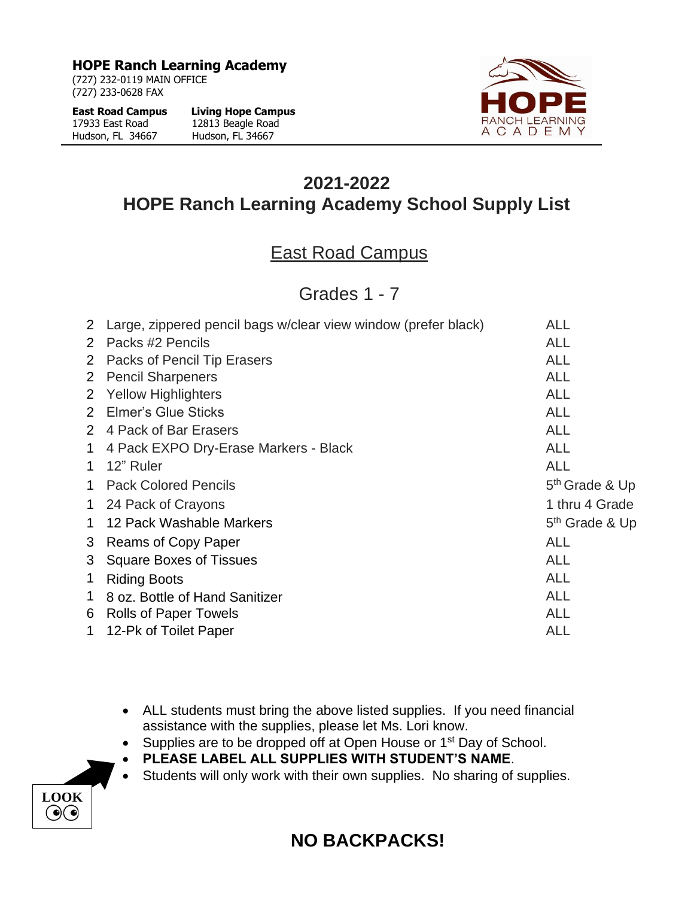**HOPE Ranch Learning Academy**

(727) 232-0119 MAIN OFFICE (727) 233-0628 FAX

| <b>East Road Campus</b> | <b>Living Hope Campus</b> |
|-------------------------|---------------------------|
| 17933 East Road         | 12813 Beagle Road         |
| Hudson, FL 34667        | Hudson, FL 34667          |



## **2021-2022 HOPE Ranch Learning Academy School Supply List**

## East Road Campus

Grades 1 - 7

|              | 2 Large, zippered pencil bags w/clear view window (prefer black) | <b>ALL</b>                 |
|--------------|------------------------------------------------------------------|----------------------------|
| 2            | Packs #2 Pencils                                                 | <b>ALL</b>                 |
|              | 2 Packs of Pencil Tip Erasers                                    | <b>ALL</b>                 |
|              | 2 Pencil Sharpeners                                              | <b>ALL</b>                 |
|              | 2 Yellow Highlighters                                            | <b>ALL</b>                 |
|              | 2 Elmer's Glue Sticks                                            | <b>ALL</b>                 |
|              | 2 4 Pack of Bar Erasers                                          | <b>ALL</b>                 |
| $\mathbf 1$  | 4 Pack EXPO Dry-Erase Markers - Black                            | <b>ALL</b>                 |
| 1            | 12" Ruler                                                        | <b>ALL</b>                 |
| $\mathbf 1$  | <b>Pack Colored Pencils</b>                                      | 5 <sup>th</sup> Grade & Up |
|              | 1 24 Pack of Crayons                                             | 1 thru 4 Grade             |
| $\mathbf{1}$ | 12 Pack Washable Markers                                         | 5 <sup>th</sup> Grade & Up |
| 3            | <b>Reams of Copy Paper</b>                                       | <b>ALL</b>                 |
| 3            | <b>Square Boxes of Tissues</b>                                   | <b>ALL</b>                 |
| $\mathbf 1$  | <b>Riding Boots</b>                                              | <b>ALL</b>                 |
| $\mathbf 1$  | 8 oz. Bottle of Hand Sanitizer                                   | <b>ALL</b>                 |
|              | 6 Rolls of Paper Towels                                          | <b>ALL</b>                 |
| $\mathbf 1$  | 12-Pk of Toilet Paper                                            | <b>ALL</b>                 |
|              |                                                                  |                            |

- ALL students must bring the above listed supplies. If you need financial assistance with the supplies, please let Ms. Lori know.
- Supplies are to be dropped off at Open House or 1<sup>st</sup> Day of School.
- **PLEASE LABEL ALL SUPPLIES WITH STUDENT'S NAME**.
- Students will only work with their own supplies. No sharing of supplies.



## **NO BACKPACKS!**